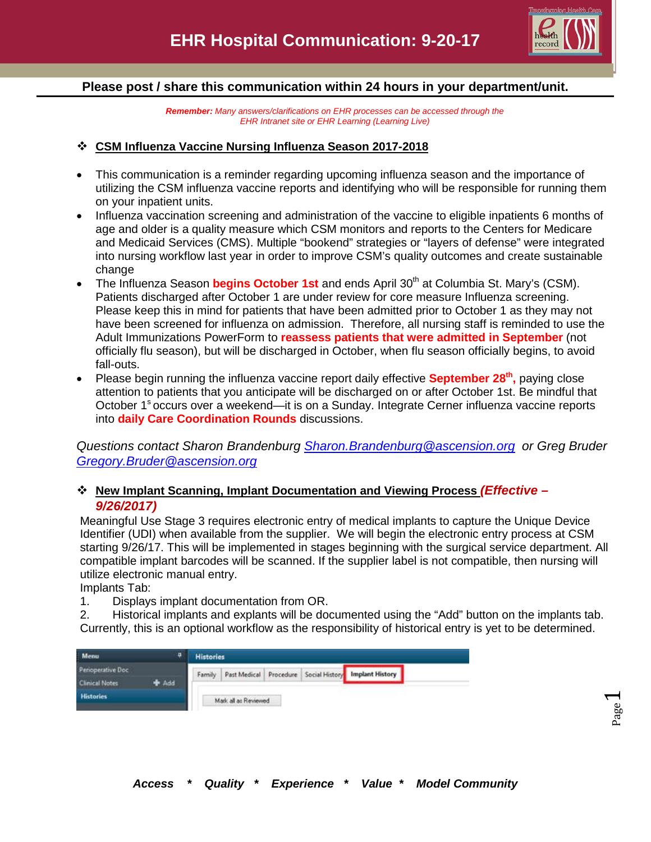

#### **Please post / share this communication within 24 hours in your department/unit.**

*Remember: Many answers/clarifications on EHR processes can be accessed through the EHR Intranet site or EHR Learning (Learning Live)*

#### **CSM Influenza Vaccine Nursing Influenza Season 2017-2018**

- This communication is a reminder regarding upcoming influenza season and the importance of utilizing the CSM influenza vaccine reports and identifying who will be responsible for running them on your inpatient units.
- Influenza vaccination screening and administration of the vaccine to eligible inpatients 6 months of age and older is a quality measure which CSM monitors and reports to the Centers for Medicare and Medicaid Services (CMS). Multiple "bookend" strategies or "layers of defense" were integrated into nursing workflow last year in order to improve CSM's quality outcomes and create sustainable change
- The Influenza Season **begins October 1st** and ends April 30<sup>th</sup> at Columbia St. Mary's (CSM). Patients discharged after October 1 are under review for core measure Influenza screening. Please keep this in mind for patients that have been admitted prior to October 1 as they may not have been screened for influenza on admission. Therefore, all nursing staff is reminded to use the Adult Immunizations PowerForm to **reassess patients that were admitted in September** (not officially flu season), but will be discharged in October, when flu season officially begins, to avoid fall-outs.
- Please begin running the influenza vaccine report daily effective **September 28<sup>th</sup>**, paying close attention to patients that you anticipate will be discharged on or after October 1st. Be mindful that October 1<sup>s</sup> occurs over a weekend—it is on a Sunday. Integrate Cerner influenza vaccine reports into **daily Care Coordination Rounds** discussions.

*Questions contact Sharon Brandenburg [Sharon.Brandenburg@ascension.org](mailto:Sharon.Brandenburg@ascension.org) or Greg Bruder [Gregory.Bruder@ascension.org](mailto:Gregory.Bruder@ascension.org)* 

### **New Implant Scanning, Implant Documentation and Viewing Process** *(Effective – 9/26/2017)*

Meaningful Use Stage 3 requires electronic entry of medical implants to capture the Unique Device Identifier (UDI) when available from the supplier. We will begin the electronic entry process at CSM starting 9/26/17. This will be implemented in stages beginning with the surgical service department. All compatible implant barcodes will be scanned. If the supplier label is not compatible, then nursing will utilize electronic manual entry.

Implants Tab:

1. Displays implant documentation from OR.

2. Historical implants and explants will be documented using the "Add" button on the implants tab. Currently, this is an optional workflow as the responsibility of historical entry is yet to be determined.

| Menu                  |       | <b>Histories</b> |                      |  |  |                                                       |  |  |  |
|-----------------------|-------|------------------|----------------------|--|--|-------------------------------------------------------|--|--|--|
| Penoperative Doc      |       | Family           |                      |  |  | Past Medical Procedure Social History Implant History |  |  |  |
| <b>Clinical Notes</b> | + Add |                  |                      |  |  |                                                       |  |  |  |
| <b>Histories</b>      |       |                  | Mark all as Reviewed |  |  |                                                       |  |  |  |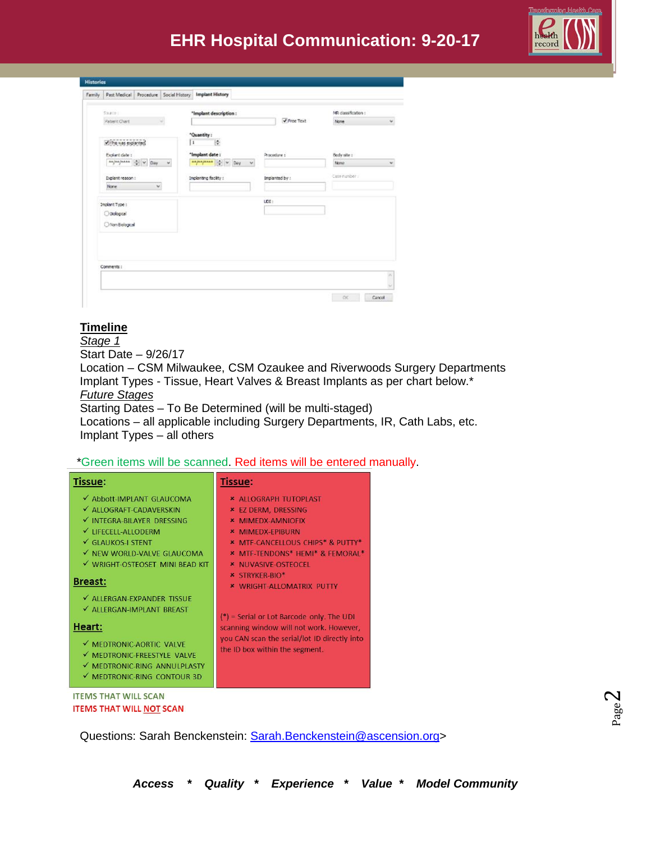# **EHR Hospital Communication: 9-20-17**



| Family | Past Medical Procedure Social History                                                                                                                                                                                                                                                                                                                                                                                                                                                                                                                          |              |          |   | <b>Implant History</b> |                       |                    |                |           |                   |    |
|--------|----------------------------------------------------------------------------------------------------------------------------------------------------------------------------------------------------------------------------------------------------------------------------------------------------------------------------------------------------------------------------------------------------------------------------------------------------------------------------------------------------------------------------------------------------------------|--------------|----------|---|------------------------|-----------------------|--------------------|----------------|-----------|-------------------|----|
|        | SNACHT                                                                                                                                                                                                                                                                                                                                                                                                                                                                                                                                                         |              |          |   |                        | *Implant description: |                    |                |           | MR dassification: |    |
|        | Patient Chart                                                                                                                                                                                                                                                                                                                                                                                                                                                                                                                                                  |              |          |   |                        |                       |                    |                | Free Text | None              | Ÿ. |
|        | This was explanted                                                                                                                                                                                                                                                                                                                                                                                                                                                                                                                                             |              |          | П | "Quantity:             | l÷.                   |                    |                |           |                   |    |
|        | Explorit date :                                                                                                                                                                                                                                                                                                                                                                                                                                                                                                                                                |              |          |   | "Implant date:         |                       |                    | Procedure 1    |           | Body site :       |    |
|        | $\frac{a\lambda}{2} \left\vert \frac{a\lambda}{2} \right\vert \left\vert \frac{a\lambda}{2} \right\vert \left\vert \frac{a\lambda}{2} \right\vert \left\vert \frac{a\lambda}{2} \right\vert \left\vert \frac{a\lambda}{2} \right\vert \left\vert \frac{a\lambda}{2} \right\vert \left\vert \frac{a\lambda}{2} \right\vert \left\vert \frac{a\lambda}{2} \right\vert \left\vert \frac{a\lambda}{2} \right\vert \left\vert \frac{a\lambda}{2} \right\vert \left\vert \frac{a\lambda}{2} \right\vert \left\vert \frac{a\lambda}{2} \right\vert \left\vert \frac{$ |              | $\omega$ |   |                        | experience of w Day   | $\dot{\mathbf{v}}$ |                |           | None              | v  |
|        | Explant reason :                                                                                                                                                                                                                                                                                                                                                                                                                                                                                                                                               |              |          |   | Implanting facility :  |                       |                    | Implanted by : |           | Case number       |    |
|        | None                                                                                                                                                                                                                                                                                                                                                                                                                                                                                                                                                           | $\checkmark$ |          |   |                        |                       |                    |                |           |                   |    |
|        | Implant Type :                                                                                                                                                                                                                                                                                                                                                                                                                                                                                                                                                 |              |          |   |                        |                       |                    | upt:           |           |                   |    |
|        | O Diological                                                                                                                                                                                                                                                                                                                                                                                                                                                                                                                                                   |              |          |   |                        |                       |                    |                |           |                   |    |
|        | O Non Bological                                                                                                                                                                                                                                                                                                                                                                                                                                                                                                                                                |              |          |   |                        |                       |                    |                |           |                   |    |
|        |                                                                                                                                                                                                                                                                                                                                                                                                                                                                                                                                                                |              |          |   |                        |                       |                    |                |           |                   |    |
|        |                                                                                                                                                                                                                                                                                                                                                                                                                                                                                                                                                                |              |          |   |                        |                       |                    |                |           |                   |    |
|        |                                                                                                                                                                                                                                                                                                                                                                                                                                                                                                                                                                |              |          |   |                        |                       |                    |                |           |                   |    |
|        |                                                                                                                                                                                                                                                                                                                                                                                                                                                                                                                                                                |              |          |   |                        |                       |                    |                |           |                   |    |
|        | Comments :                                                                                                                                                                                                                                                                                                                                                                                                                                                                                                                                                     |              |          |   |                        |                       |                    |                |           |                   |    |
|        |                                                                                                                                                                                                                                                                                                                                                                                                                                                                                                                                                                |              |          |   |                        |                       |                    |                |           |                   | õ  |
|        |                                                                                                                                                                                                                                                                                                                                                                                                                                                                                                                                                                |              |          |   |                        |                       |                    |                |           |                   |    |

## **Timeline**

*Stage 1* Start Date – 9/26/17 Location – CSM Milwaukee, CSM Ozaukee and Riverwoods Surgery Departments Implant Types - Tissue, Heart Valves & Breast Implants as per chart below.\* *Future Stages* Starting Dates – To Be Determined (will be multi-staged) Locations – all applicable including Surgery Departments, IR, Cath Labs, etc. Implant Types – all others

#### \*Green items will be scanned. Red items will be entered manually.

| <b>Tissue:</b>                                                                                                                                                                                                                                                                                                                                                                                               | <b>Tissue:</b>                                                                                                                                                                                                                                                                                                                                                                                                                                                                 |
|--------------------------------------------------------------------------------------------------------------------------------------------------------------------------------------------------------------------------------------------------------------------------------------------------------------------------------------------------------------------------------------------------------------|--------------------------------------------------------------------------------------------------------------------------------------------------------------------------------------------------------------------------------------------------------------------------------------------------------------------------------------------------------------------------------------------------------------------------------------------------------------------------------|
| ✔ Abbott-IMPLANT GLAUCOMA<br>✔ ALLOGRAFT-CADAVERSKIN<br>V INTEGRA-BILAYER DRESSING<br>V LIFECELL-ALLODERM<br>GLAUKOS-I STENT<br>V NEW WORLD-VALVE GLAUCOMA<br>√ WRIGHT-OSTEOSET MINI BEAD KIT<br><b>Breast:</b><br>√ ALLERGAN-EXPANDER TISSUE<br>√ ALLERGAN-IMPLANT BREAST<br>Heart:<br>√ MEDTRONIC-AORTIC VALVE<br>√ MEDTRONIC-FREESTYLE VALVE<br>MEDTRONIC-RING ANNULPLASTY<br>√ MEDTRONIC-RING CONTOUR 3D | * ALLOGRAPH TUTOPLAST<br><b>* EZ DERM, DRESSING</b><br><b>* MIMEDX-AMNIOFIX</b><br><b>* MIMEDX-EPIBURN</b><br><b>* MTF-CANCELLOUS CHIPS* &amp; PUTTY*</b><br><b>* MTF-TENDONS* HEMI* &amp; FEMORAL*</b><br><b>* NUVASIVE-OSTEOCEL</b><br><b>* STRYKER-BIO*</b><br><b>* WRIGHT-ALLOMATRIX PUTTY</b><br>$(*)$ = Serial or Lot Barcode only. The UDI<br>scanning window will not work. However,<br>you CAN scan the serial/lot ID directly into<br>the ID box within the segment. |
| <b>ITEMS THAT WILL SCAN</b>                                                                                                                                                                                                                                                                                                                                                                                  |                                                                                                                                                                                                                                                                                                                                                                                                                                                                                |

**ITEMS THAT WILL NOT SCAN** 

Questions: Sarah Benckenstein: [Sarah.Benckenstein@ascension.org>](mailto:Sarah.Benckenstein@ascension.org)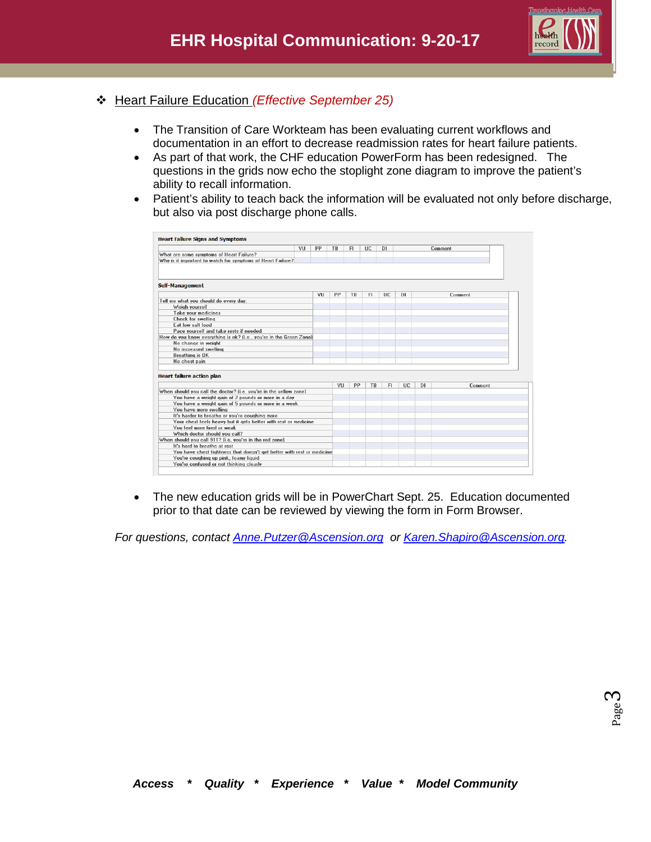

- Heart Failure Education *(Effective September 25)*
	- The Transition of Care Workteam has been evaluating current workflows and documentation in an effort to decrease readmission rates for heart failure patients.
	- As part of that work, the CHF education PowerForm has been redesigned. The questions in the grids now echo the stoplight zone diagram to improve the patient's ability to recall information.
	- Patient's ability to teach back the information will be evaluated not only before discharge, but also via post discharge phone calls.

| VII                                                                              | PP | TR | <b>FI</b> | <b>UC</b> | D1        |           |     | Comment |
|----------------------------------------------------------------------------------|----|----|-----------|-----------|-----------|-----------|-----|---------|
| What are some symptoms of Heart Failure?                                         |    |    |           |           |           |           |     |         |
| Why is it important to watch for symptoms of Heart Failure?                      |    |    |           |           |           |           |     |         |
|                                                                                  |    |    |           |           |           |           |     |         |
| <b>Self-Management</b>                                                           |    |    |           |           |           |           |     |         |
|                                                                                  | VU | PP | TB        | FI.       | <b>UC</b> | <b>DI</b> |     | Comment |
| Tell me what you should do every day:                                            |    |    |           |           |           |           |     |         |
| Weigh vourself                                                                   |    |    |           |           |           |           |     |         |
| Take your medicines                                                              |    |    |           |           |           |           |     |         |
| <b>Check for swelling</b>                                                        |    |    |           |           |           |           |     |         |
| Eat low salt food                                                                |    |    |           |           |           |           |     |         |
| Pace vourself and take rests if needed                                           |    |    |           |           |           |           |     |         |
| How do you know everything is ok? (i.e., you're in the Green Zone)               |    |    |           |           |           |           |     |         |
| No change in weight                                                              |    |    |           |           |           |           |     |         |
| No increased swelling                                                            |    |    |           |           |           |           |     |         |
| Breathing is OK                                                                  |    |    |           |           |           |           |     |         |
| No chest pain                                                                    |    |    |           |           |           |           |     |         |
| <b>Heart failure action plan</b>                                                 |    | VU | PP        | <b>TB</b> | FI.       | UC.       | DI. | Comment |
|                                                                                  |    |    |           |           |           |           |     |         |
| When should you call the doctor? (i.e. you're in the vellow zone)                |    |    |           |           |           |           |     |         |
| You have a weight gain of 2 pounds or more in a day                              |    |    |           |           |           |           |     |         |
| You have a weight gain of 5 pounds or more in a week                             |    |    |           |           |           |           |     |         |
| You have more swelling                                                           |    |    |           |           |           |           |     |         |
| It's harder to breathe or you're coughing more                                   |    |    |           |           |           |           |     |         |
| Your chest feels heavy but it gets better with rest or medicine                  |    |    |           |           |           |           |     |         |
| You feel more tired or weak                                                      |    |    |           |           |           |           |     |         |
| Which doctor should you call?                                                    |    |    |           |           |           |           |     |         |
| When should you call 911? (i.e, you're in the red zone)                          |    |    |           |           |           |           |     |         |
| It's hard to breathe at rest                                                     |    |    |           |           |           |           |     |         |
| You have chest tightness that doesn't get better with rest or medicine           |    |    |           |           |           |           |     |         |
| You're coughing up pink, foamy liquid<br>You're confused or not thinking clearly |    |    |           |           |           |           |     |         |

• The new education grids will be in PowerChart Sept. 25. Education documented prior to that date can be reviewed by viewing the form in Form Browser.

*For questions, contact [Anne.Putzer@Ascension.org](mailto:Anne.Putzer@Ascension.org) or [Karen.Shapiro@Ascension.org.](mailto:Karen.Shapiro@Ascension.org)*